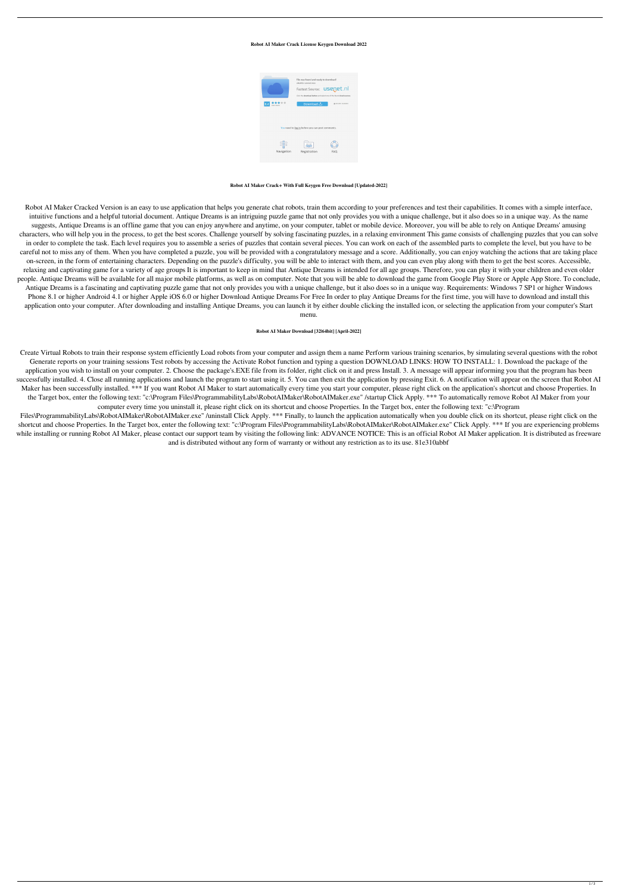## **Robot AI Maker Crack License Keygen Download 2022**



**Robot AI Maker Crack+ With Full Keygen Free Download [Updated-2022]**

Robot AI Maker Cracked Version is an easy to use application that helps you generate chat robots, train them according to your preferences and test their capabilities. It comes with a simple interface, intuitive functions and a helpful tutorial document. Antique Dreams is an intriguing puzzle game that not only provides you with a unique challenge, but it also does so in a unique way. As the name suggests, Antique Dreams is an offline game that you can enjoy anywhere and anytime, on your computer, tablet or mobile device. Moreover, you will be able to rely on Antique Dreams' amusing characters, who will help you in the process, to get the best scores. Challenge yourself by solving fascinating puzzles, in a relaxing environment This game consists of challenging puzzles that you can solve in order to complete the task. Each level requires you to assemble a series of puzzles that contain several pieces. You can work on each of the assembled parts to complete the level, but you have to be careful not to miss any of them. When you have completed a puzzle, you will be provided with a congratulatory message and a score. Additionally, you can enjoy watching the actions that are taking place on-screen, in the form of entertaining characters. Depending on the puzzle's difficulty, you will be able to interact with them, and you can even play along with them to get the best scores. Accessible, relaxing and captivating game for a variety of age groups It is important to keep in mind that Antique Dreams is intended for all age groups. Therefore, you can play it with your children and even older people. Antique Dreams will be available for all major mobile platforms, as well as on computer. Note that you will be able to download the game from Google Play Store or Apple App Store. To conclude, Antique Dreams is a fascinating and captivating puzzle game that not only provides you with a unique challenge, but it also does so in a unique way. Requirements: Windows 7 SP1 or higher Windows Phone 8.1 or higher Android 4.1 or higher Apple iOS 6.0 or higher Download Antique Dreams For Free In order to play Antique Dreams for the first time, you will have to download and install this application onto your computer. After downloading and installing Antique Dreams, you can launch it by either double clicking the installed icon, or selecting the application from your computer's Start menu.

Files\ProgrammabilityLabs\RobotAIMaker\RobotAIMaker.exe" /uninstall Click Apply. \*\*\* Finally, to launch the application automatically when you double click on its shortcut, please right click on the shortcut and choose Properties. In the Target box, enter the following text: "c:\Program Files\ProgrammabilityLabs\RobotAIMaker\RobotAIMaker.exe" Click Apply. \*\*\* If you are experiencing problems while installing or running Robot AI Maker, please contact our support team by visiting the following link: ADVANCE NOTICE: This is an official Robot AI Maker application. It is distributed as freeware and is distributed without any form of warranty or without any restriction as to its use. 81e310abbf

## **Robot AI Maker Download [32|64bit] [April-2022]**

Create Virtual Robots to train their response system efficiently Load robots from your computer and assign them a name Perform various training scenarios, by simulating several questions with the robot Generate reports on your training sessions Test robots by accessing the Activate Robot function and typing a question DOWNLOAD LINKS: HOW TO INSTALL: 1. Download the package of the

application you wish to install on your computer. 2. Choose the package's.EXE file from its folder, right click on it and press Install. 3. A message will appear informing you that the program has been successfully installed. 4. Close all running applications and launch the program to start using it. 5. You can then exit the application by pressing Exit. 6. A notification will appear on the screen that Robot AI Maker has been successfully installed. \*\*\* If you want Robot AI Maker to start automatically every time you start your computer, please right click on the application's shortcut and choose Properties. In the Target box, enter the following text: "c:\Program Files\ProgrammabilityLabs\RobotAIMaker\RobotAIMaker.exe" /startup Click Apply. \*\*\* To automatically remove Robot AI Maker from your computer every time you uninstall it, please right click on its shortcut and choose Properties. In the Target box, enter the following text: "c:\Program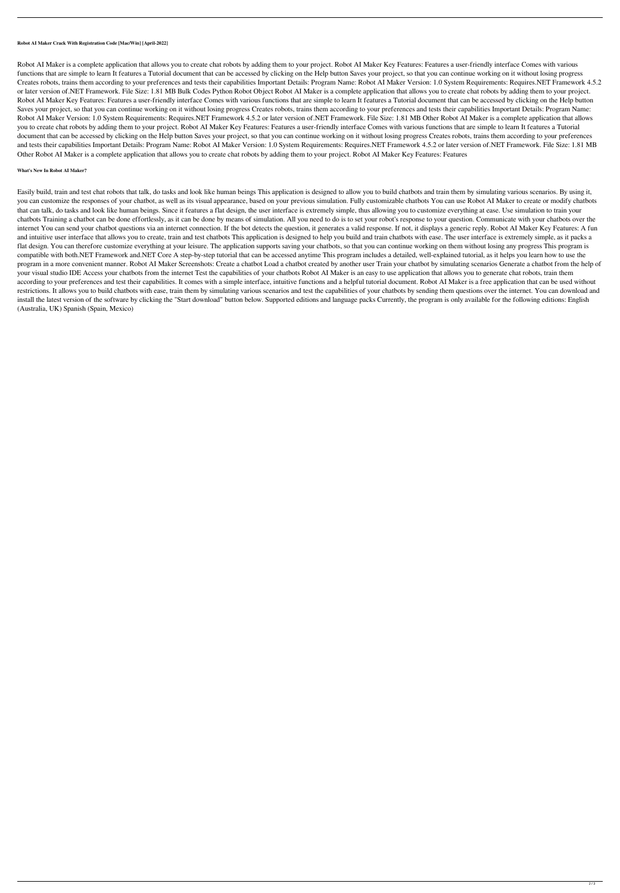**Robot AI Maker Crack With Registration Code [Mac/Win] [April-2022]**

Robot AI Maker is a complete application that allows you to create chat robots by adding them to your project. Robot AI Maker Key Features: Features a user-friendly interface Comes with various functions that are simple to learn It features a Tutorial document that can be accessed by clicking on the Help button Saves your project, so that you can continue working on it without losing progress Creates robots, trains them according to your preferences and tests their capabilities Important Details: Program Name: Robot AI Maker Version: 1.0 System Requirements: Requires.NET Framework 4.5.2 or later version of.NET Framework. File Size: 1.81 MB Bulk Codes Python Robot Object Robot AI Maker is a complete application that allows you to create chat robots by adding them to your project. Robot AI Maker Key Features: Features a user-friendly interface Comes with various functions that are simple to learn It features a Tutorial document that can be accessed by clicking on the Help button Saves your project, so that you can continue working on it without losing progress Creates robots, trains them according to your preferences and tests their capabilities Important Details: Program Name: Robot AI Maker Version: 1.0 System Requirements: Requires.NET Framework 4.5.2 or later version of.NET Framework. File Size: 1.81 MB Other Robot AI Maker is a complete application that allows you to create chat robots by adding them to your project. Robot AI Maker Key Features: Features a user-friendly interface Comes with various functions that are simple to learn It features a Tutorial document that can be accessed by clicking on the Help button Saves your project, so that you can continue working on it without losing progress Creates robots, trains them according to your preferences and tests their capabilities Important Details: Program Name: Robot AI Maker Version: 1.0 System Requirements: Requires.NET Framework 4.5.2 or later version of.NET Framework. File Size: 1.81 MB Other Robot AI Maker is a complete application that allows you to create chat robots by adding them to your project. Robot AI Maker Key Features: Features

## **What's New In Robot AI Maker?**

Easily build, train and test chat robots that talk, do tasks and look like human beings This application is designed to allow you to build chatbots and train them by simulating various scenarios. By using it, you can customize the responses of your chatbot, as well as its visual appearance, based on your previous simulation. Fully customizable chatbots You can use Robot AI Maker to create or modify chatbots that can talk, do tasks and look like human beings. Since it features a flat design, the user interface is extremely simple, thus allowing you to customize everything at ease. Use simulation to train your chatbots Training a chatbot can be done effortlessly, as it can be done by means of simulation. All you need to do is to set your robot's response to your question. Communicate with your chatbots over the internet You can send your chatbot questions via an internet connection. If the bot detects the question, it generates a valid response. If not, it displays a generic reply. Robot AI Maker Key Features: A fun and intuitive user interface that allows you to create, train and test chatbots This application is designed to help you build and train chatbots with ease. The user interface is extremely simple, as it packs a flat design. You can therefore customize everything at your leisure. The application supports saving your chatbots, so that you can continue working on them without losing any progress This program is compatible with both.NET Framework and.NET Core A step-by-step tutorial that can be accessed anytime This program includes a detailed, well-explained tutorial, as it helps you learn how to use the program in a more convenient manner. Robot AI Maker Screenshots: Create a chatbot Load a chatbot created by another user Train your chatbot by simulating scenarios Generate a chatbot from the help of your visual studio IDE Access your chatbots from the internet Test the capabilities of your chatbots Robot AI Maker is an easy to use application that allows you to generate chat robots, train them according to your preferences and test their capabilities. It comes with a simple interface, intuitive functions and a helpful tutorial document. Robot AI Maker is a free application that can be used without restrictions. It allows you to build chatbots with ease, train them by simulating various scenarios and test the capabilities of your chatbots by sending them questions over the internet. You can download and install the latest version of the software by clicking the "Start download" button below. Supported editions and language packs Currently, the program is only available for the following editions: English (Australia, UK) Spanish (Spain, Mexico)